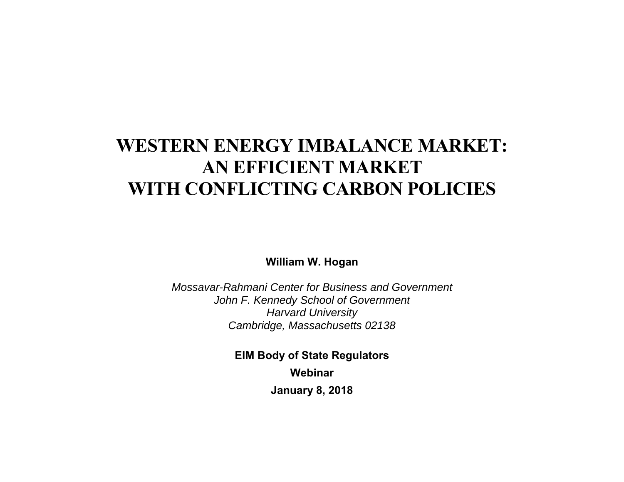# **WESTERN ENERGY IMBALANCE MARKET: AN EFFICIENT MARKET WITH CONFLICTING CARBON POLICIES**

**William W. Hogan** 

*Mossavar-Rahmani Center for Business and Government John F. Kennedy School of Government Harvard University Cambridge, Massachusetts 02138* 

> **EIM Body of State Regulators Webinar January 8, 2018**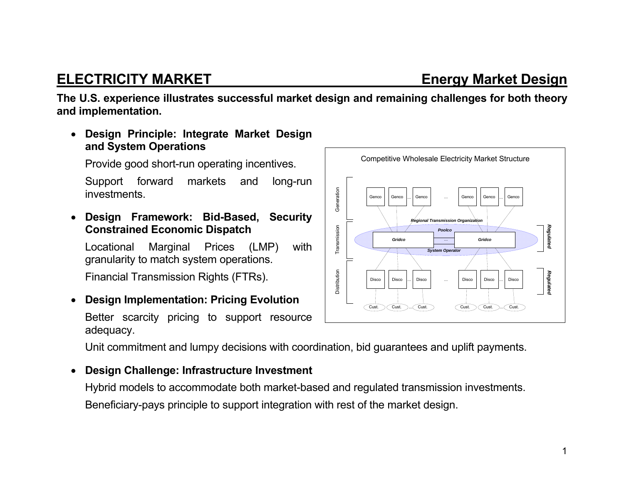### **ELECTRICITY MARKET Energy Market Design**

**The U.S. experience illustrates successful market design and remaining challenges for both theory and implementation.** 

 **Design Principle: Integrate Market Design and System Operations** 

Provide good short-run operating incentives.

Support forward markets and long-run investments.

 **Design Framework: Bid-Based, Security Constrained Economic Dispatch** 

Locational Marginal Prices (LMP) with granularity to match system operations.

Financial Transmission Rights (FTRs).

 $\bullet$  **Design Implementation: Pricing Evolution**  Better scarcity pricing to support resource adequacy.

Unit commitment and lumpy decisions with coordination, bid guarantees and uplift payments.

#### $\bullet$ **Design Challenge: Infrastructure Investment**

Hybrid models to accommodate both market-based and regulated transmission investments. Beneficiary-pays principle to support integration with rest of the market design.

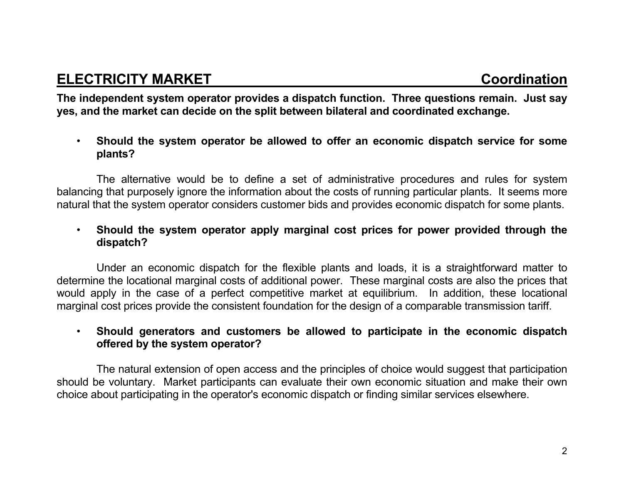**The independent system operator provides a dispatch function. Three questions remain. Just say yes, and the market can decide on the split between bilateral and coordinated exchange.**

• **Should the system operator be allowed to offer an economic dispatch service for some plants?**

 The alternative would be to define a set of administrative procedures and rules for system balancing that purposely ignore the information about the costs of running particular plants. It seems more natural that the system operator considers customer bids and provides economic dispatch for some plants.

• **Should the system operator apply marginal cost prices for power provided through the dispatch?**

 Under an economic dispatch for the flexible plants and loads, it is a straightforward matter to determine the locational marginal costs of additional power. These marginal costs are also the prices that would apply in the case of a perfect competitive market at equilibrium. In addition, these locational marginal cost prices provide the consistent foundation for the design of a comparable transmission tariff.

• **Should generators and customers be allowed to participate in the economic dispatch offered by the system operator?**

 The natural extension of open access and the principles of choice would suggest that participation should be voluntary. Market participants can evaluate their own economic situation and make their own choice about participating in the operator's economic dispatch or finding similar services elsewhere.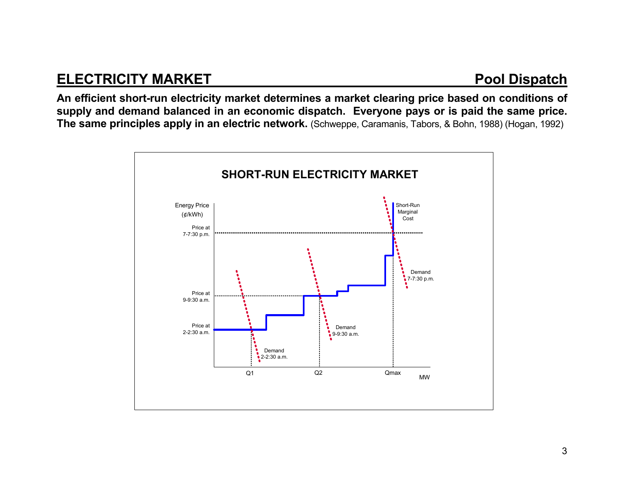#### **ELECTRICITY MARKET Pool Dispatch**

**An efficient short-run electricity market determines a market clearing price based on conditions of supply and demand balanced in an economic dispatch. Everyone pays or is paid the same price. The same principles apply in an electric network.** (Schweppe, Caramanis, Tabors, & Bohn, 1988) (Hogan, 1992)

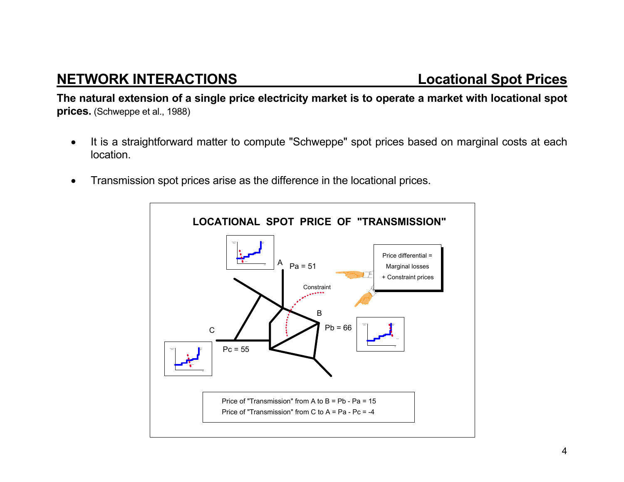## **NETWORK INTERACTIONS Locational Spot Prices**

**The natural extension of a single price electricity market is to operate a market with locational spot prices.** (Schweppe et al., 1988)

- It is a straightforward matter to compute "Schweppe" spot prices based on marginal costs at each location.
- Transmission spot prices arise as the difference in the locational prices.

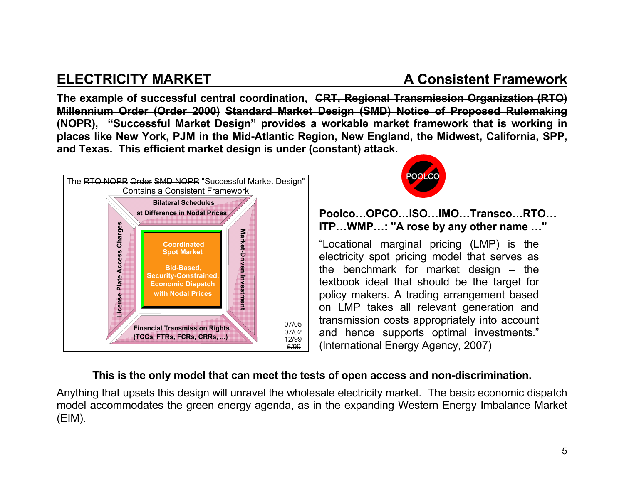### **ELECTRICITY MARKET A Consistent Framework**

**The example of successful central coordination, CRT, Regional Transmission Organization (RTO) Millennium Order (Order 2000) Standard Market Design (SMD) Notice of Proposed Rulemaking (NOPR), "Successful Market Design" provides a workable market framework that is working in places like New York, PJM in the Mid-Atlantic Region, New England, the Midwest, California, SPP, and Texas. This efficient market design is under (constant) attack.**





#### **Poolco…OPCO…ISO…IMO…Transco…RTO… ITP…WMP…: "A rose by any other name …"**

"Locational marginal pricing (LMP) is the electricity spot pricing model that serves as the benchmark for market design – the textbook ideal that should be the target for policy makers. A trading arrangement based on LMP takes all relevant generation and transmission costs appropriately into account and hence supports optimal investments." (International Energy Agency, 2007)

#### **This is the only model that can meet the tests of open access and non-discrimination.**

Anything that upsets this design will unravel the wholesale electricity market. The basic economic dispatch model accommodates the green energy agenda, as in the expanding Western Energy Imbalance Market (EIM).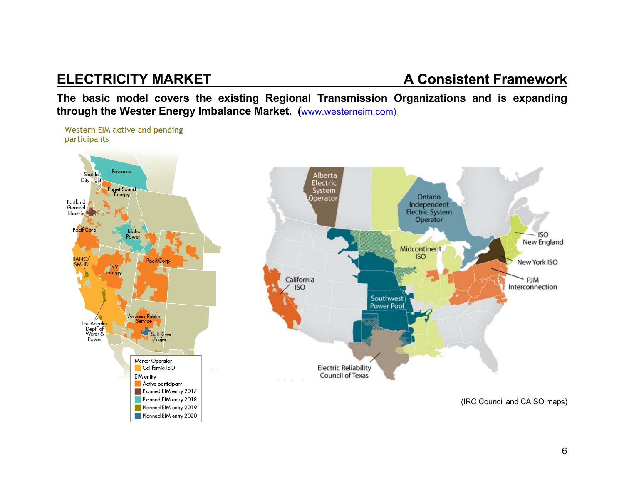### **ELECTRICITY MARKET A Consistent Framework**

**The basic model covers the existing Regional Transmission Organizations and is expanding through the Wester Energy Imbalance Market. (**www.westerneim.com)

Western EIM active and pending participants Powerex Seattle Alberta City Light Electric uget Sound System .<br>:nergy Operator Portland General Electric<sup>4</sup> PacifiCorp Idaho **BANC** PacifiCorp SMUD Energy California **ISO** Arizona Public Los Angeles<br>Dept. of<br>Water & Salt River Power Market Operator **Electric Reliability** California ISO Council of Texas **EIM** entity Active participant Planned EIM entry 2017 Planned EIM entry 2018 Planned EIM entry 2019 Planned EIM entry 2020



(IRC Council and CAISO maps)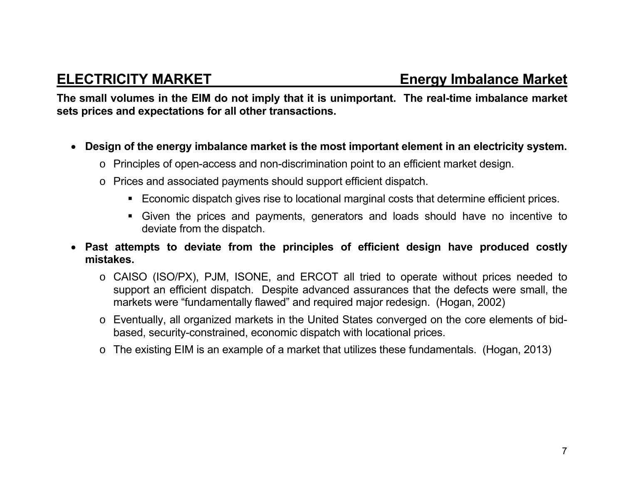**The small volumes in the EIM do not imply that it is unimportant. The real-time imbalance market sets prices and expectations for all other transactions.** 

- **Design of the energy imbalance market is the most important element in an electricity system.** 
	- <sup>o</sup> Principles of open-access and non-discrimination point to an efficient market design.
	- <sup>o</sup> Prices and associated payments should support efficient dispatch.
		- Economic dispatch gives rise to locational marginal costs that determine efficient prices.
		- Given the prices and payments, generators and loads should have no incentive to deviate from the dispatch.
- **Past attempts to deviate from the principles of efficient design have produced costly mistakes.**
	- <sup>o</sup> CAISO (ISO/PX), PJM, ISONE, and ERCOT all tried to operate without prices needed to support an efficient dispatch. Despite advanced assurances that the defects were small, the markets were "fundamentally flawed" and required major redesign. (Hogan, 2002)
	- o Eventually, all organized markets in the United States converged on the core elements of bidbased, security-constrained, economic dispatch with locational prices.
	- o The existing EIM is an example of a market that utilizes these fundamentals. (Hogan, 2013)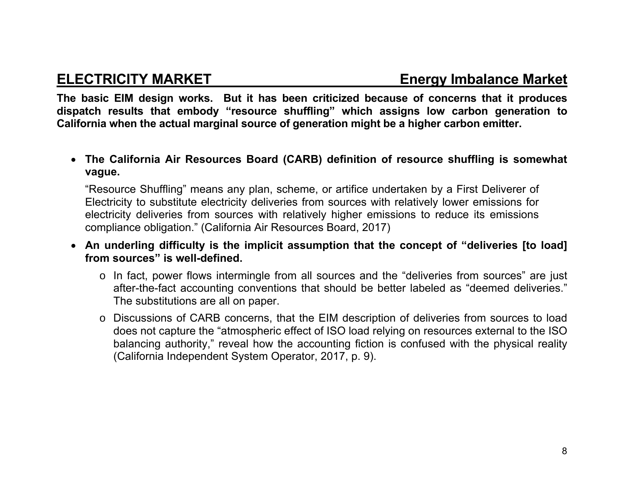#### **ELECTRICITY MARKET Energy Imbalance Market**

**The basic EIM design works. But it has been criticized because of concerns that it produces dispatch results that embody "resource shuffling" which assigns low carbon generation to California when the actual marginal source of generation might be a higher carbon emitter.** 

 **The California Air Resources Board (CARB) definition of resource shuffling is somewhat vague.** 

"Resource Shuffling" means any plan, scheme, or artifice undertaken by a First Deliverer of Electricity to substitute electricity deliveries from sources with relatively lower emissions for electricity deliveries from sources with relatively higher emissions to reduce its emissions compliance obligation." (California Air Resources Board, 2017)

- **An underling difficulty is the implicit assumption that the concept of "deliveries [to load] from sources" is well-defined.** 
	- <sup>o</sup> In fact, power flows intermingle from all sources and the "deliveries from sources" are just after-the-fact accounting conventions that should be better labeled as "deemed deliveries." The substitutions are all on paper.
	- <sup>o</sup> Discussions of CARB concerns, that the EIM description of deliveries from sources to load does not capture the "atmospheric effect of ISO load relying on resources external to the ISO balancing authority," reveal how the accounting fiction is confused with the physical reality (California Independent System Operator, 2017, p. 9).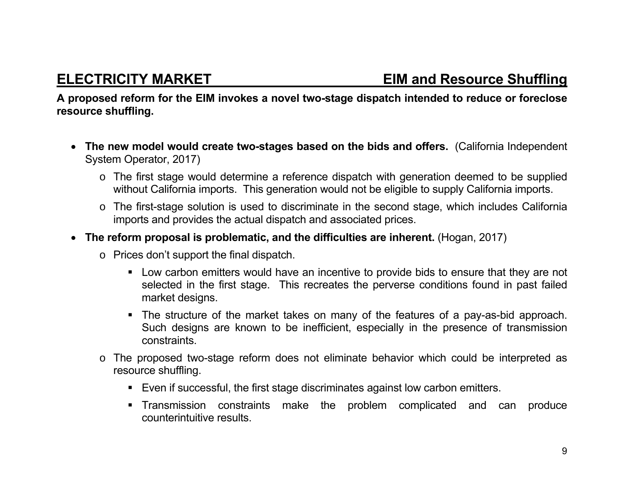**A proposed reform for the EIM invokes a novel two-stage dispatch intended to reduce or foreclose resource shuffling.** 

- **The new model would create two-stages based on the bids and offers.** (California Independent System Operator, 2017)
	- <sup>o</sup> The first stage would determine a reference dispatch with generation deemed to be supplied without California imports. This generation would not be eligible to supply California imports.
	- <sup>o</sup> The first-stage solution is used to discriminate in the second stage, which includes California imports and provides the actual dispatch and associated prices.
- **The reform proposal is problematic, and the difficulties are inherent.** (Hogan, 2017)
	- <sup>o</sup> Prices don't support the final dispatch.
		- **EXECT** Low carbon emitters would have an incentive to provide bids to ensure that they are not selected in the first stage. This recreates the perverse conditions found in past failed market designs.
		- The structure of the market takes on many of the features of a pay-as-bid approach. Such designs are known to be inefficient, especially in the presence of transmission constraints.
	- <sup>o</sup> The proposed two-stage reform does not eliminate behavior which could be interpreted as resource shuffling.
		- Even if successful, the first stage discriminates against low carbon emitters.
		- Transmission constraints make the problem complicated and can produce counterintuitive results.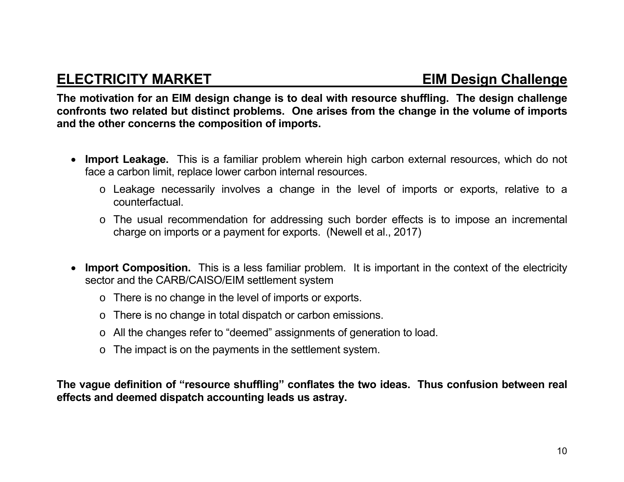#### **ELECTRICITY MARKET EIM Design Challenge**

**The motivation for an EIM design change is to deal with resource shuffling. The design challenge confronts two related but distinct problems. One arises from the change in the volume of imports and the other concerns the composition of imports.** 

- **Import Leakage.** This is a familiar problem wherein high carbon external resources, which do not face a carbon limit, replace lower carbon internal resources.
	- <sup>o</sup> Leakage necessarily involves a change in the level of imports or exports, relative to a counterfactual.
	- <sup>o</sup> The usual recommendation for addressing such border effects is to impose an incremental charge on imports or a payment for exports. (Newell et al., 2017)
- **Import Composition.** This is a less familiar problem. It is important in the context of the electricity sector and the CARB/CAISO/EIM settlement system
	- <sup>o</sup> There is no change in the level of imports or exports.
	- <sup>o</sup> There is no change in total dispatch or carbon emissions.
	- <sup>o</sup> All the changes refer to "deemed" assignments of generation to load.
	- <sup>o</sup> The impact is on the payments in the settlement system.

**The vague definition of "resource shuffling" conflates the two ideas. Thus confusion between real effects and deemed dispatch accounting leads us astray.**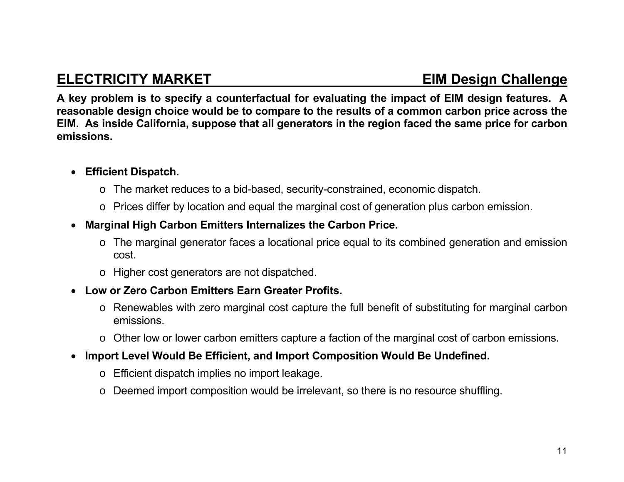### **ELECTRICITY MARKET EIM Design Challenge**

**A key problem is to specify a counterfactual for evaluating the impact of EIM design features. A reasonable design choice would be to compare to the results of a common carbon price across the EIM. As inside California, suppose that all generators in the region faced the same price for carbon emissions.** 

#### **Efficient Dispatch.**

- <sup>o</sup> The market reduces to a bid-based, security-constrained, economic dispatch.
- <sup>o</sup> Prices differ by location and equal the marginal cost of generation plus carbon emission.
- **Marginal High Carbon Emitters Internalizes the Carbon Price.** 
	- <sup>o</sup> The marginal generator faces a locational price equal to its combined generation and emission cost.
	- <sup>o</sup> Higher cost generators are not dispatched.
- **Low or Zero Carbon Emitters Earn Greater Profits.** 
	- <sup>o</sup> Renewables with zero marginal cost capture the full benefit of substituting for marginal carbon emissions.
	- <sup>o</sup> Other low or lower carbon emitters capture a faction of the marginal cost of carbon emissions.
- **Import Level Would Be Efficient, and Import Composition Would Be Undefined.** 
	- <sup>o</sup> Efficient dispatch implies no import leakage.
	- o Deemed import composition would be irrelevant, so there is no resource shuffling.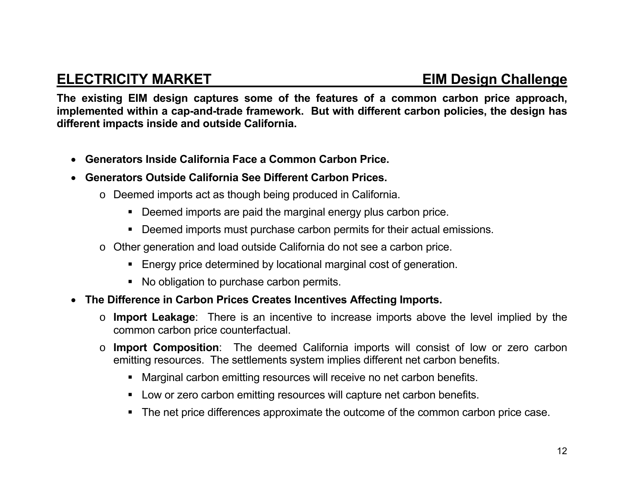### **ELECTRICITY MARKET EIM Design Challenge**

**The existing EIM design captures some of the features of a common carbon price approach, implemented within a cap-and-trade framework. But with different carbon policies, the design has different impacts inside and outside California.** 

- $\bullet$ **Generators Inside California Face a Common Carbon Price.**
- $\bullet$  **Generators Outside California See Different Carbon Prices.** 
	- <sup>o</sup> Deemed imports act as though being produced in California.
		- Deemed imports are paid the marginal energy plus carbon price.
		- Deemed imports must purchase carbon permits for their actual emissions.
	- <sup>o</sup> Other generation and load outside California do not see a carbon price.
		- **Energy price determined by locational marginal cost of generation.**
		- No obligation to purchase carbon permits.
- **The Difference in Carbon Prices Creates Incentives Affecting Imports.**
	- o **Import Leakage**: There is an incentive to increase imports above the level implied by the common carbon price counterfactual.
	- o **Import Composition**: The deemed California imports will consist of low or zero carbon emitting resources. The settlements system implies different net carbon benefits.
		- Marginal carbon emitting resources will receive no net carbon benefits.
		- Low or zero carbon emitting resources will capture net carbon benefits.
		- The net price differences approximate the outcome of the common carbon price case.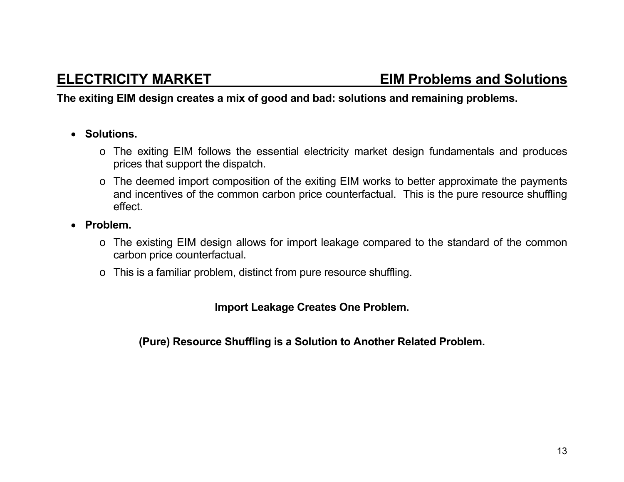#### **The exiting EIM design creates a mix of good and bad: solutions and remaining problems.**

- **Solutions.** 
	- <sup>o</sup> The exiting EIM follows the essential electricity market design fundamentals and produces prices that support the dispatch.
	- <sup>o</sup> The deemed import composition of the exiting EIM works to better approximate the payments and incentives of the common carbon price counterfactual. This is the pure resource shuffling effect.
- **Problem.** 
	- <sup>o</sup> The existing EIM design allows for import leakage compared to the standard of the common carbon price counterfactual.
	- <sup>o</sup> This is a familiar problem, distinct from pure resource shuffling.

**Import Leakage Creates One Problem.** 

**(Pure) Resource Shuffling is a Solution to Another Related Problem.**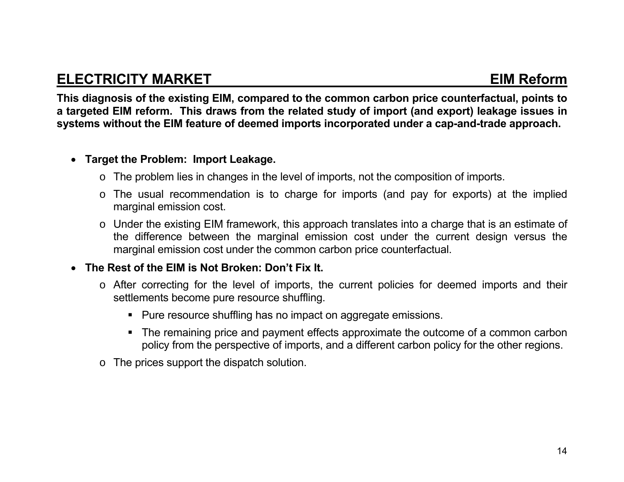### **ELECTRICITY MARKET** EIM Reform

**This diagnosis of the existing EIM, compared to the common carbon price counterfactual, points to a targeted EIM reform. This draws from the related study of import (and export) leakage issues in systems without the EIM feature of deemed imports incorporated under a cap-and-trade approach.** 

#### **Target the Problem: Import Leakage.**

- <sup>o</sup> The problem lies in changes in the level of imports, not the composition of imports.
- <sup>o</sup> The usual recommendation is to charge for imports (and pay for exports) at the implied marginal emission cost.
- <sup>o</sup> Under the existing EIM framework, this approach translates into a charge that is an estimate of the difference between the marginal emission cost under the current design versus the marginal emission cost under the common carbon price counterfactual.

#### **The Rest of the EIM is Not Broken: Don't Fix It.**

- <sup>o</sup> After correcting for the level of imports, the current policies for deemed imports and their settlements become pure resource shuffling.
	- Pure resource shuffling has no impact on aggregate emissions.
	- The remaining price and payment effects approximate the outcome of a common carbon policy from the perspective of imports, and a different carbon policy for the other regions.
- o The prices support the dispatch solution.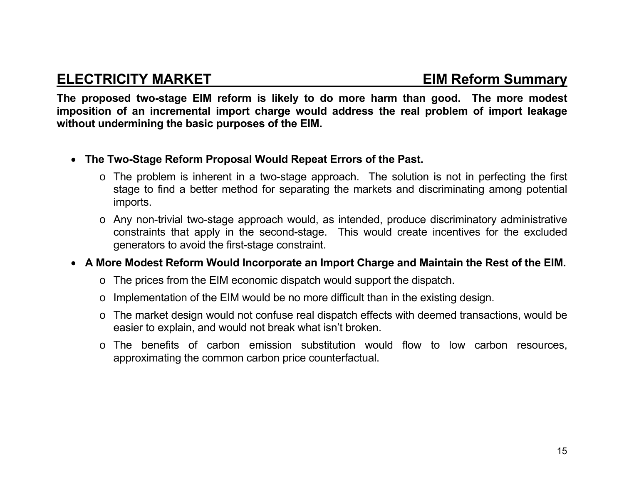#### **ELECTRICITY MARKET EIM Reform Summary**

**The proposed two-stage EIM reform is likely to do more harm than good. The more modest imposition of an incremental import charge would address the real problem of import leakage without undermining the basic purposes of the EIM.** 

- **The Two-Stage Reform Proposal Would Repeat Errors of the Past.** 
	- <sup>o</sup> The problem is inherent in a two-stage approach. The solution is not in perfecting the first stage to find a better method for separating the markets and discriminating among potential imports.
	- <sup>o</sup> Any non-trivial two-stage approach would, as intended, produce discriminatory administrative constraints that apply in the second-stage. This would create incentives for the excluded generators to avoid the first-stage constraint.
- **A More Modest Reform Would Incorporate an Import Charge and Maintain the Rest of the EIM.**
	- <sup>o</sup> The prices from the EIM economic dispatch would support the dispatch.
	- <sup>o</sup> Implementation of the EIM would be no more difficult than in the existing design.
	- <sup>o</sup> The market design would not confuse real dispatch effects with deemed transactions, would be easier to explain, and would not break what isn't broken.
	- <sup>o</sup> The benefits of carbon emission substitution would flow to low carbon resources, approximating the common carbon price counterfactual.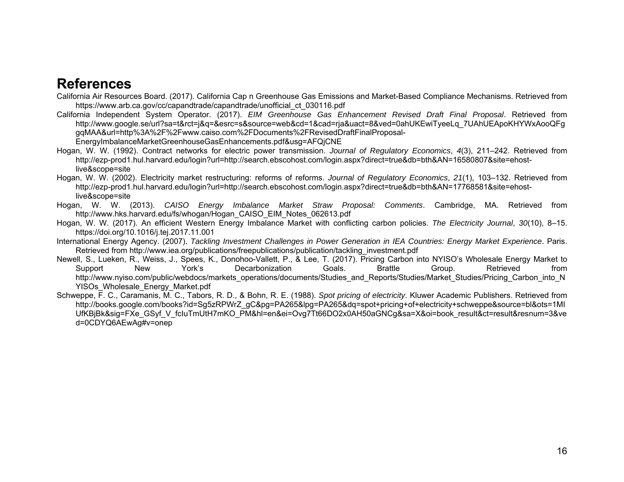#### **References**

California Air Resources Board. (2017). California Cap n Greenhouse Gas Emissions and Market-Based Compliance Mechanisms. Retrieved from https://www.arb.ca.gov/cc/capandtrade/capandtrade/unofficial\_ct\_030116.pdf

California Independent System Operator. (2017). *EIM Greenhouse Gas Enhancement Revised Draft Final Proposal*. Retrieved from http://www.google.se/url?sa=t&rct=j&q=&esrc=s&source=web&cd=1&cad=rja&uact=8&ved=0ahUKEwiTyeeLq\_7UAhUEApoKHYWxAooQFg gqMAA&url=http%3A%2F%2Fwww.caiso.com%2FDocuments%2FRevisedDraftFinalProposal-

EnergyImbalanceMarketGreenhouseGasEnhancements.pdf&usg=AFQjCNE

- Hogan, W. W. (1992). Contract networks for electric power transmission. *Journal of Regulatory Economics*, *4*(3), 211–242. Retrieved from http://ezp-prod1.hul.harvard.edu/login?url=http://search.ebscohost.com/login.aspx?direct=true&db=bth&AN=16580807&site=ehostlive&scope=site
- Hogan, W. W. (2002). Electricity market restructuring: reforms of reforms. *Journal of Regulatory Economics*, *21*(1), 103–132. Retrieved from http://ezp-prod1.hul.harvard.edu/login?url=http://search.ebscohost.com/login.aspx?direct=true&db=bth&AN=17768581&site=ehostlive&scope=site
- Hogan, W. W. (2013). *CAISO Energy Imbalance Market Straw Proposal: Comments*. Cambridge, MA. Retrieved from http://www.hks.harvard.edu/fs/whogan/Hogan\_CAISO\_EIM\_Notes\_062613.pdf
- Hogan, W. W. (2017). An efficient Western Energy Imbalance Market with conflicting carbon policies. *The Electricity Journal*, *30*(10), 8–15. https://doi.org/10.1016/j.tej.2017.11.001
- International Energy Agency. (2007). *Tackling Investment Challenges in Power Generation in IEA Countries: Energy Market Experience*. Paris. Retrieved from http://www.iea.org/publications/freepublications/publication/tackling\_investment.pdf
- Newell, S., Lueken, R., Weiss, J., Spees, K., Donohoo-Vallett, P., & Lee, T. (2017). Pricing Carbon into NYISO's Wholesale Energy Market to Support New York's Decarbonization Goals. Brattle Group. Retrieved from http://www.nyiso.com/public/webdocs/markets\_operations/documents/Studies\_and\_Reports/Studies/Market\_Studies/Pricing\_Carbon\_into\_N YISOs\_Wholesale\_Energy\_Market.pdf
- Schweppe, F. C., Caramanis, M. C., Tabors, R. D., & Bohn, R. E. (1988). *Spot pricing of electricity*. Kluwer Academic Publishers. Retrieved from http://books.google.com/books?id=Sg5zRPWrZ\_gC&pg=PA265&lpg=PA265&dq=spot+pricing+of+electricity+schweppe&source=bl&ots=1MI UfKBjBk&sig=FXe\_GSyf\_V\_fcIuTmUtH7mKO\_PM&hl=en&ei=Ovg7Tt66DO2x0AH50aGNCg&sa=X&oi=book\_result&ct=result&resnum=3&ve d=0CDYQ6AEwAg#v=onep